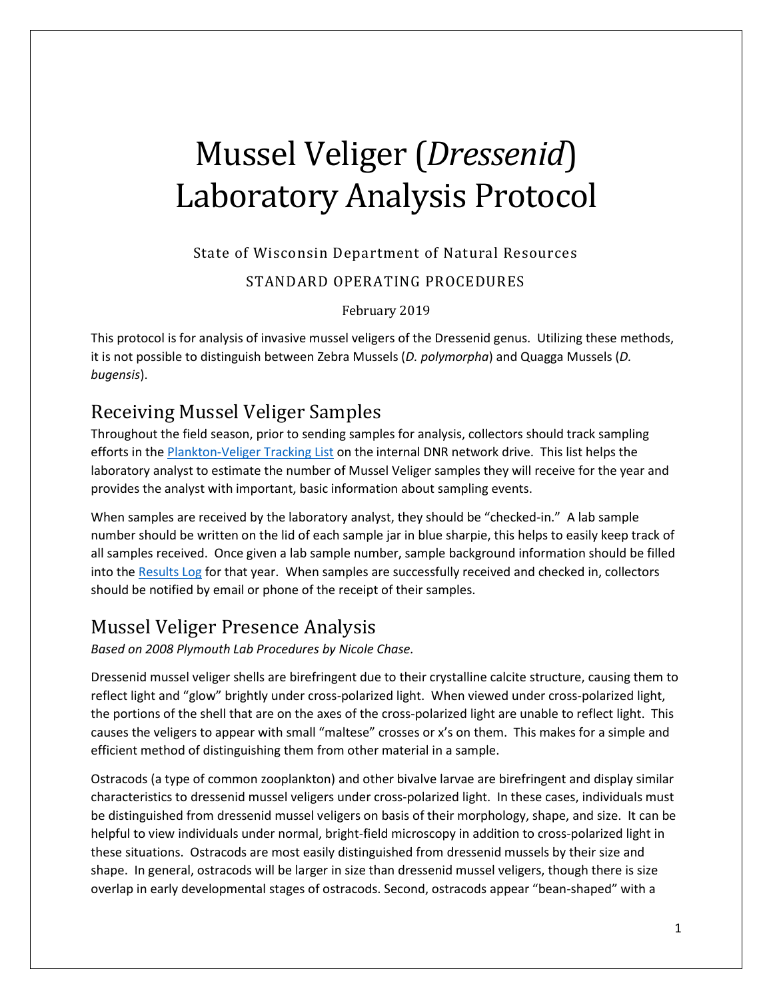# Mussel Veliger (*Dressenid*) Laboratory Analysis Protocol

## State of Wisconsin Department of Natural Resources STANDARD OPERATING PROCEDURES

February 2019

This protocol is for analysis of invasive mussel veligers of the Dressenid genus. Utilizing these methods, it is not possible to distinguish between Zebra Mussels (*D. polymorpha*) and Quagga Mussels (*D. bugensis*).

## Receiving Mussel Veliger Samples

Throughout the field season, prior to sending samples for analysis, collectors should track sampling efforts in th[e Plankton-Veliger Tracking List](file://///central/water/WQWT_PROJECTS/WY_LRS/AIS/AIS%20Monitoring/Verification/Plankton%20tows-dredges/plankton%20veliger%20tracking%20list.xlsx) on the internal DNR network drive. This list helps the laboratory analyst to estimate the number of Mussel Veliger samples they will receive for the year and provides the analyst with important, basic information about sampling events.

When samples are received by the laboratory analyst, they should be "checked-in." A lab sample number should be written on the lid of each sample jar in blue sharpie, this helps to easily keep track of all samples received. Once given a lab sample number, sample background information should be filled into th[e Results Log](file:///C:/Users/lalibg/AppData/Local/Microsoft/Windows/INetCache/Content.Outlook/GPD57NCJ/Data%20Templates-Hyperlinked%20Materials/YEAR_ZM-SWF_ResultsLog_TEMPLATE.xlsx) for that year. When samples are successfully received and checked in, collectors should be notified by email or phone of the receipt of their samples.

## Mussel Veliger Presence Analysis

*Based on 2008 Plymouth Lab Procedures by Nicole Chase.* 

Dressenid mussel veliger shells are birefringent due to their crystalline calcite structure, causing them to reflect light and "glow" brightly under cross-polarized light. When viewed under cross-polarized light, the portions of the shell that are on the axes of the cross-polarized light are unable to reflect light. This causes the veligers to appear with small "maltese" crosses or x's on them. This makes for a simple and efficient method of distinguishing them from other material in a sample.

Ostracods (a type of common zooplankton) and other bivalve larvae are birefringent and display similar characteristics to dressenid mussel veligers under cross-polarized light. In these cases, individuals must be distinguished from dressenid mussel veligers on basis of their morphology, shape, and size. It can be helpful to view individuals under normal, bright-field microscopy in addition to cross-polarized light in these situations. Ostracods are most easily distinguished from dressenid mussels by their size and shape. In general, ostracods will be larger in size than dressenid mussel veligers, though there is size overlap in early developmental stages of ostracods. Second, ostracods appear "bean-shaped" with a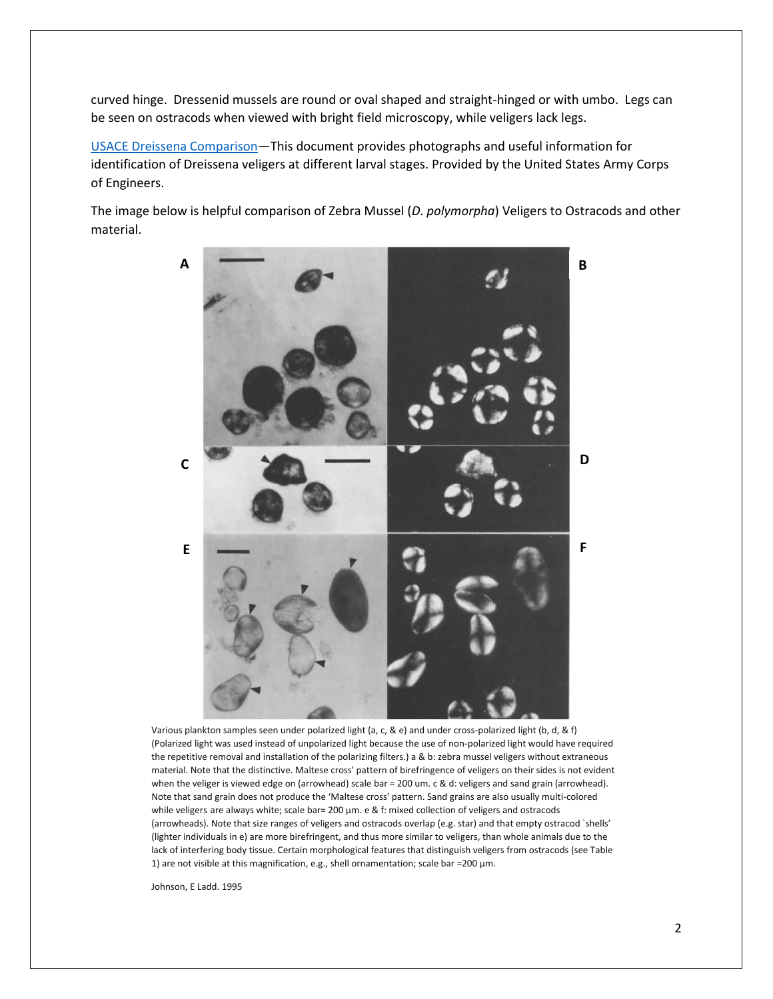curved hinge. Dressenid mussels are round or oval shaped and straight-hinged or with umbo. Legs can be seen on ostracods when viewed with bright field microscopy, while veligers lack legs.

[USACE Dreissena Comparison](file:///C:/Users/lalibg/AppData/Local/Microsoft/Windows/INetCache/Content.Outlook/GPD57NCJ/Data%20Templates-Hyperlinked%20Materials/USACE%20Dreissena%20comparison.docx)—This document provides photographs and useful information for identification of Dreissena veligers at different larval stages. Provided by the United States Army Corps of Engineers.

The image below is helpful comparison of Zebra Mussel (*D. polymorpha*) Veligers to Ostracods and other material.



Various plankton samples seen under polarized light (a, c, & e) and under cross-polarized light (b, d, & f) (Polarized light was used instead of unpolarized light because the use of non-polarized light would have required the repetitive removal and installation of the polarizing filters.) a & b: zebra mussel veligers without extraneous material. Note that the distinctive. Maltese cross' pattern of birefringence of veligers on their sides is not evident when the veliger is viewed edge on (arrowhead) scale bar = 200 um. c & d: veligers and sand grain (arrowhead). Note that sand grain does not produce the 'Maltese cross' pattern. Sand grains are also usually multi-colored while veligers are always white; scale bar= 200 µm. e & f: mixed collection of veligers and ostracods (arrowheads). Note that size ranges of veligers and ostracods overlap (e.g. star) and that empty ostracod `shells' (lighter individuals in e) are more birefringent, and thus more similar to veligers, than whole animals due to the lack of interfering body tissue. Certain morphological features that distinguish veligers from ostracods (see Table 1) are not visible at this magnification, e.g., shell ornamentation; scale bar =200 µm.

Johnson, E Ladd. 1995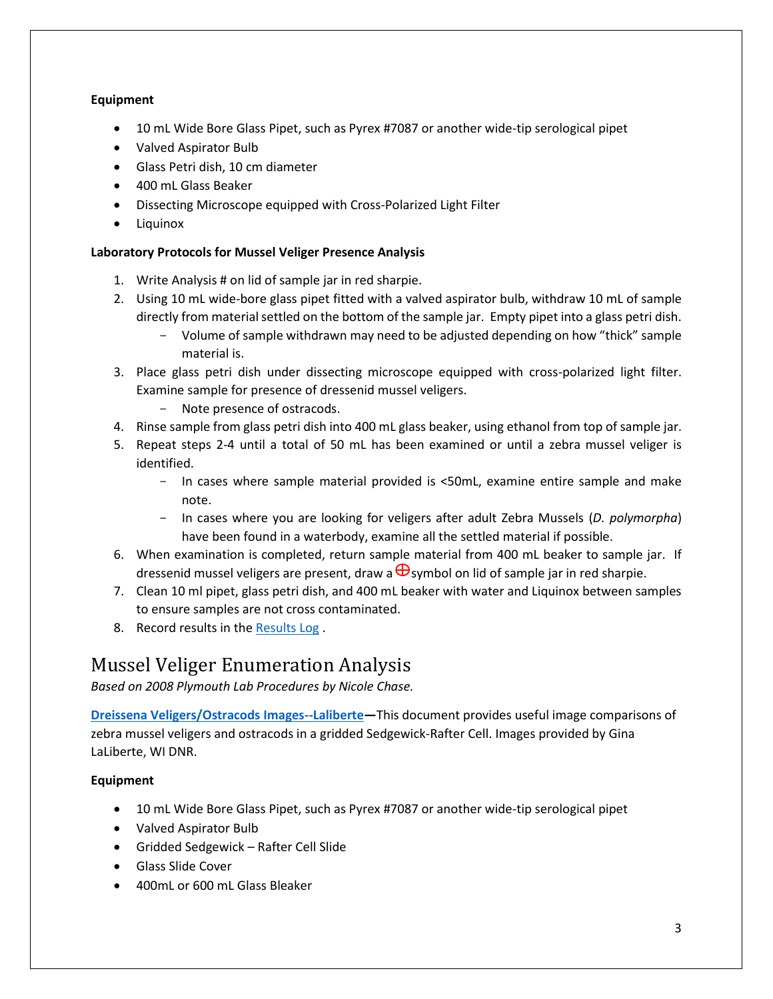#### **Equipment**

- 10 mL Wide Bore Glass Pipet, such as Pyrex #7087 or another wide-tip serological pipet
- Valved Aspirator Bulb
- Glass Petri dish, 10 cm diameter
- 400 mL Glass Beaker
- Dissecting Microscope equipped with Cross-Polarized Light Filter
- Liquinox

#### **Laboratory Protocols for Mussel Veliger Presence Analysis**

- 1. Write Analysis # on lid of sample jar in red sharpie.
- 2. Using 10 mL wide-bore glass pipet fitted with a valved aspirator bulb, withdraw 10 mL of sample directly from material settled on the bottom of the sample jar. Empty pipet into a glass petri dish.
	- Volume of sample withdrawn may need to be adjusted depending on how "thick" sample material is.
- 3. Place glass petri dish under dissecting microscope equipped with cross-polarized light filter. Examine sample for presence of dressenid mussel veligers.
	- Note presence of ostracods.
- 4. Rinse sample from glass petri dish into 400 mL glass beaker, using ethanol from top of sample jar.
- 5. Repeat steps 2-4 until a total of 50 mL has been examined or until a zebra mussel veliger is identified.
	- In cases where sample material provided is <50mL, examine entire sample and make note.
	- In cases where you are looking for veligers after adult Zebra Mussels (*D. polymorpha*) have been found in a waterbody, examine all the settled material if possible.
- 6. When examination is completed, return sample material from 400 mL beaker to sample jar. If dressenid mussel veligers are present, draw a  $\bigoplus$ symbol on lid of sample jar in red sharpie.
- 7. Clean 10 ml pipet, glass petri dish, and 400 mL beaker with water and Liquinox between samples to ensure samples are not cross contaminated.
- 8. Record results in the [Results Log](file://///central/water/WQWT_PROJECTS/WY_LRS/AIS/AIS%20Monitoring/Verification/Plankton%20tows-dredges/Laboratory%20SOP/Data%20Templates-Hyperlinked%20Materials/YEAR_ZM-SWF_ResultsLog_TEMPLATE.xlsx) .

# Mussel Veliger Enumeration Analysis

*Based on 2008 Plymouth Lab Procedures by Nicole Chase.* 

**[Dreissena Veligers/Ostracods Images--Laliberte](file:///C:/Users/lalibg/AppData/Local/Microsoft/Windows/INetCache/Content.Outlook/GPD57NCJ/Data%20Templates-Hyperlinked%20Materials/Dreissena_vs_ostracods_GLaLiberte-images.pdf)—**This document provides useful image comparisons of zebra mussel veligers and ostracods in a gridded Sedgewick-Rafter Cell. Images provided by Gina LaLiberte, WI DNR.

#### **Equipment**

- 10 mL Wide Bore Glass Pipet, such as Pyrex #7087 or another wide-tip serological pipet
- Valved Aspirator Bulb
- Gridded Sedgewick Rafter Cell Slide
- Glass Slide Cover
- 400mL or 600 mL Glass Bleaker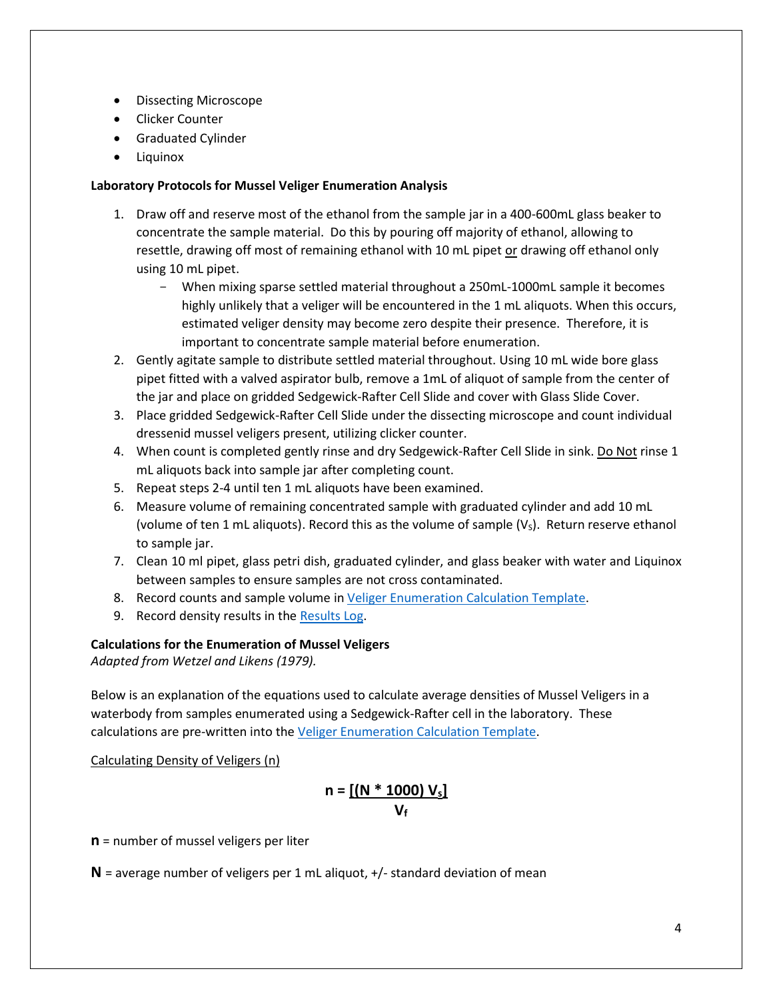- Dissecting Microscope
- Clicker Counter
- Graduated Cylinder
- Liquinox

#### **Laboratory Protocols for Mussel Veliger Enumeration Analysis**

- 1. Draw off and reserve most of the ethanol from the sample jar in a 400-600mL glass beaker to concentrate the sample material. Do this by pouring off majority of ethanol, allowing to resettle, drawing off most of remaining ethanol with 10 mL pipet or drawing off ethanol only using 10 mL pipet.
	- When mixing sparse settled material throughout a 250mL-1000mL sample it becomes highly unlikely that a veliger will be encountered in the 1 mL aliquots. When this occurs, estimated veliger density may become zero despite their presence. Therefore, it is important to concentrate sample material before enumeration.
- 2. Gently agitate sample to distribute settled material throughout. Using 10 mL wide bore glass pipet fitted with a valved aspirator bulb, remove a 1mL of aliquot of sample from the center of the jar and place on gridded Sedgewick-Rafter Cell Slide and cover with Glass Slide Cover.
- 3. Place gridded Sedgewick-Rafter Cell Slide under the dissecting microscope and count individual dressenid mussel veligers present, utilizing clicker counter.
- 4. When count is completed gently rinse and dry Sedgewick-Rafter Cell Slide in sink. Do Not rinse 1 mL aliquots back into sample jar after completing count.
- 5. Repeat steps 2-4 until ten 1 mL aliquots have been examined.
- 6. Measure volume of remaining concentrated sample with graduated cylinder and add 10 mL (volume of ten 1 mL aliquots). Record this as the volume of sample  $(V<sub>S</sub>)$ . Return reserve ethanol to sample jar.
- 7. Clean 10 ml pipet, glass petri dish, graduated cylinder, and glass beaker with water and Liquinox between samples to ensure samples are not cross contaminated.
- 8. Record counts and sample volume in [Veliger Enumeration Calculation Template.](file:///C:/Users/lalibg/AppData/Local/Microsoft/Windows/INetCache/Content.Outlook/GPD57NCJ/Data%20Templates-Hyperlinked%20Materials/YEAR_ZMVeliger_DensityCalculation_TEMPLATE.xlsx)
- 9. Record density results in th[e Results Log.](file://///central/water/WQWT_PROJECTS/WY_LRS/AIS/AIS%20Monitoring/Verification/Plankton%20tows-dredges/Laboratory%20SOP/Data%20Templates-Hyperlinked%20Materials/YEAR_ZM-SWF_ResultsLog_TEMPLATE.xlsx)

#### **Calculations for the Enumeration of Mussel Veligers**

*Adapted from Wetzel and Likens (1979).*

Below is an explanation of the equations used to calculate average densities of Mussel Veligers in a waterbody from samples enumerated using a Sedgewick-Rafter cell in the laboratory. These calculations are pre-written into the [Veliger Enumeration Calculation Template.](file://///central/water/WQWT_PROJECTS/WY_LRS/AIS/AIS%20Monitoring/Verification/Plankton%20tows-dredges/Laboratory%20SOP/Data%20Templates-Hyperlinked%20Materials/YEAR_ZMVeliger_DensityCalculation_TEMPLATE.xlsx)

Calculating Density of Veligers (n)

### **n = [(N \* 1000) Vs] V<sup>f</sup>**

**n** = number of mussel veligers per liter

**N** = average number of veligers per 1 mL aliquot, +/- standard deviation of mean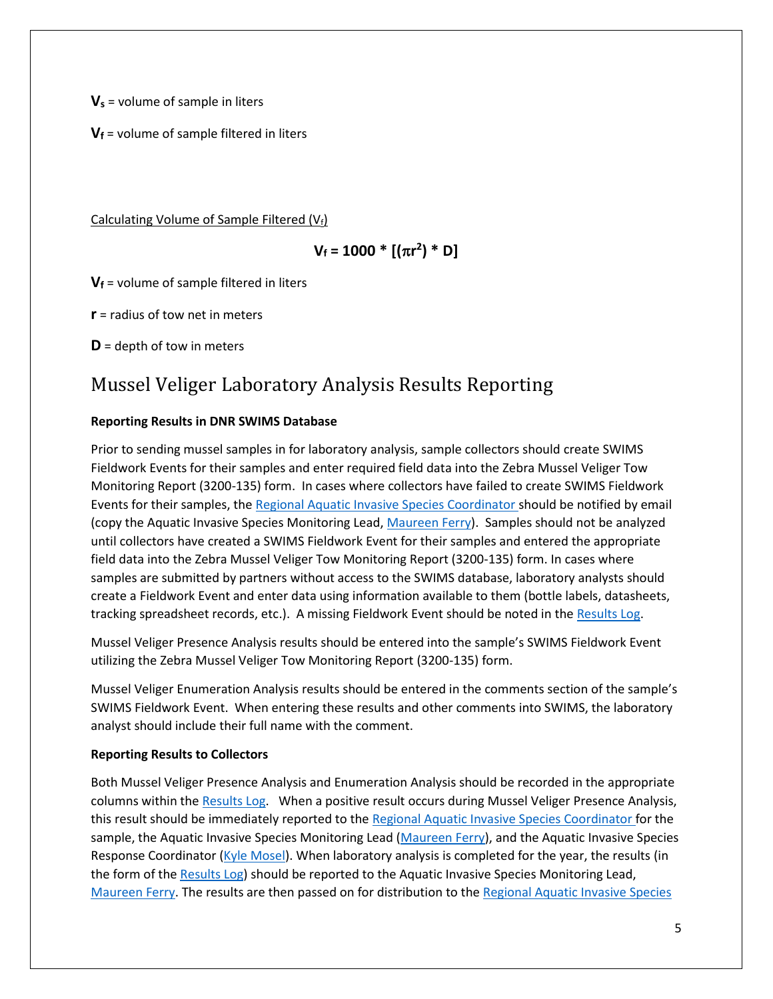**V<sup>s</sup>** = volume of sample in liters

**V<sup>f</sup>** = volume of sample filtered in liters

Calculating Volume of Sample Filtered  $(V_f)$ 

## $V_f$  = 1000  $*$  [( $\pi$ r<sup>2</sup>)  $*$  D]

**V<sup>f</sup>** = volume of sample filtered in liters

**r** = radius of tow net in meters

**D** = depth of tow in meters

# Mussel Veliger Laboratory Analysis Results Reporting

#### **Reporting Results in DNR SWIMS Database**

Prior to sending mussel samples in for laboratory analysis, sample collectors should create SWIMS Fieldwork Events for their samples and enter required field data into the Zebra Mussel Veliger Tow Monitoring Report (3200-135) form. In cases where collectors have failed to create SWIMS Fieldwork Events for their samples, th[e Regional Aquatic Invasive Species Coordinator](https://dnr.wi.gov/lakes/contacts/Contacts.aspx?role=AIS_RE_COORD) should be notified by email (copy the Aquatic Invasive Species Monitoring Lead[, Maureen Ferry\)](mailto:maureen.ferry@wisconsin.gov). Samples should not be analyzed until collectors have created a SWIMS Fieldwork Event for their samples and entered the appropriate field data into the Zebra Mussel Veliger Tow Monitoring Report (3200-135) form. In cases where samples are submitted by partners without access to the SWIMS database, laboratory analysts should create a Fieldwork Event and enter data using information available to them (bottle labels, datasheets, tracking spreadsheet records, etc.). A missing Fieldwork Event should be noted in the [Results Log.](file://///central/water/WQWT_PROJECTS/WY_LRS/AIS/AIS%20Monitoring/Verification/Plankton%20tows-dredges/Laboratory%20SOP/Data%20Templates-Hyperlinked%20Materials/YEAR_ZM-SWF_ResultsLog_TEMPLATE.xlsx)

Mussel Veliger Presence Analysis results should be entered into the sample's SWIMS Fieldwork Event utilizing the Zebra Mussel Veliger Tow Monitoring Report (3200-135) form.

Mussel Veliger Enumeration Analysis results should be entered in the comments section of the sample's SWIMS Fieldwork Event. When entering these results and other comments into SWIMS, the laboratory analyst should include their full name with the comment.

#### **Reporting Results to Collectors**

Both Mussel Veliger Presence Analysis and Enumeration Analysis should be recorded in the appropriate columns within the [Results Log.](file://///central/water/WQWT_PROJECTS/WY_LRS/AIS/AIS%20Monitoring/Verification/Plankton%20tows-dredges/Laboratory%20SOP/Data%20Templates-Hyperlinked%20Materials/YEAR_ZM-SWF_ResultsLog_TEMPLATE.xlsx) When a positive result occurs during Mussel Veliger Presence Analysis, this result should be immediately reported to the [Regional Aquatic Invasive Species Coordinator](https://dnr.wi.gov/lakes/contacts/Contacts.aspx?role=AIS_RE_COORD) for the sample, the Aquatic Invasive Species Monitoring Lead [\(Maureen Ferry\)](mailto:maureen.ferry@wisconsin.gov), and the Aquatic Invasive Species Response Coordinator [\(Kyle Mosel\)](mailto:kyle.mosel@wisconsin.gov). When laboratory analysis is completed for the year, the results (in the form of the [Results Log\)](file://///central/water/WQWT_PROJECTS/WY_LRS/AIS/AIS%20Monitoring/Verification/Plankton%20tows-dredges/Laboratory%20SOP/Data%20Templates-Hyperlinked%20Materials/YEAR_ZM-SWF_ResultsLog_TEMPLATE.xlsx) should be reported to the Aquatic Invasive Species Monitoring Lead, [Maureen Ferry.](mailto:maureen.ferry@wisconsin.gov) The results are then passed on for distribution to th[e Regional Aquatic Invasive Species](https://dnr.wi.gov/lakes/contacts/Contacts.aspx?role=AIS_RE_COORD)